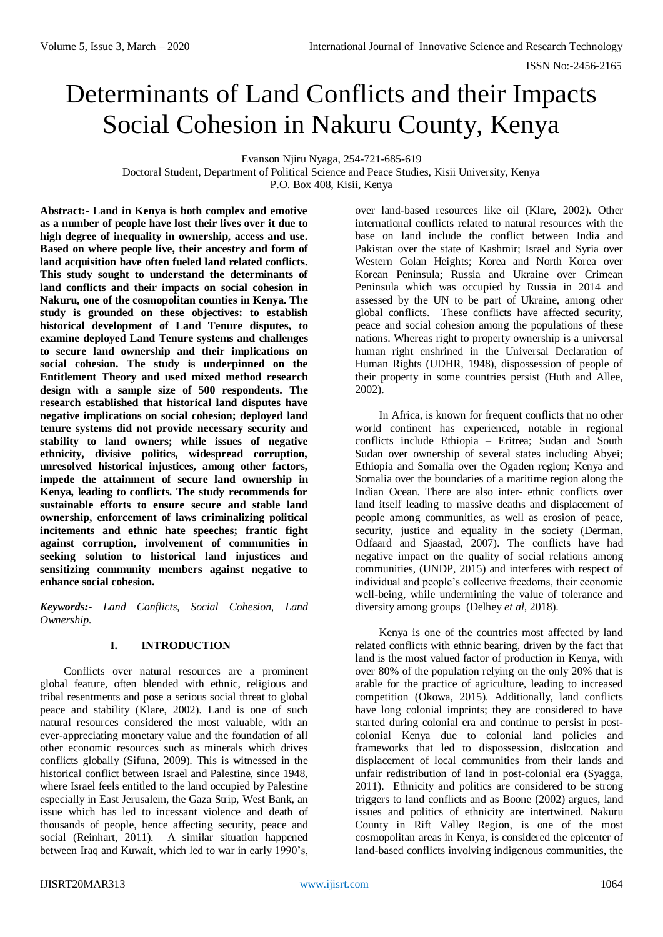# Determinants of Land Conflicts and their Impacts Social Cohesion in Nakuru County, Kenya

Evanson Njiru Nyaga, 254-721-685-619

Doctoral Student, Department of Political Science and Peace Studies, Kisii University, Kenya P.O. Box 408, Kisii, Kenya

**Abstract:- Land in Kenya is both complex and emotive as a number of people have lost their lives over it due to high degree of inequality in ownership, access and use. Based on where people live, their ancestry and form of land acquisition have often fueled land related conflicts. This study sought to understand the determinants of land conflicts and their impacts on social cohesion in Nakuru, one of the cosmopolitan counties in Kenya. The study is grounded on these objectives: to establish historical development of Land Tenure disputes, to examine deployed Land Tenure systems and challenges to secure land ownership and their implications on social cohesion. The study is underpinned on the Entitlement Theory and used mixed method research design with a sample size of 500 respondents. The research established that historical land disputes have negative implications on social cohesion; deployed land tenure systems did not provide necessary security and stability to land owners; while issues of negative ethnicity, divisive politics, widespread corruption, unresolved historical injustices, among other factors, impede the attainment of secure land ownership in Kenya, leading to conflicts. The study recommends for sustainable efforts to ensure secure and stable land ownership, enforcement of laws criminalizing political incitements and ethnic hate speeches; frantic fight against corruption, involvement of communities in seeking solution to historical land injustices and sensitizing community members against negative to enhance social cohesion.** 

*Keywords:- Land Conflicts, Social Cohesion, Land Ownership.*

## **I. INTRODUCTION**

Conflicts over natural resources are a prominent global feature, often blended with ethnic, religious and tribal resentments and pose a serious social threat to global peace and stability (Klare, 2002). Land is one of such natural resources considered the most valuable, with an ever-appreciating monetary value and the foundation of all other economic resources such as minerals which drives conflicts globally (Sifuna, 2009). This is witnessed in the historical conflict between Israel and Palestine, since 1948, where Israel feels entitled to the land occupied by Palestine especially in East Jerusalem, the Gaza Strip, West Bank, an issue which has led to incessant violence and death of thousands of people, hence affecting security, peace and social (Reinhart, 2011). A similar situation happened between Iraq and Kuwait, which led to war in early 1990's,

over land-based resources like oil (Klare, 2002). Other international conflicts related to natural resources with the base on land include the conflict between India and Pakistan over the state of Kashmir; Israel and Syria over Western Golan Heights; Korea and North Korea over Korean Peninsula; Russia and Ukraine over Crimean Peninsula which was occupied by Russia in 2014 and assessed by the UN to be part of Ukraine, among other global conflicts. These conflicts have affected security, peace and social cohesion among the populations of these nations. Whereas right to property ownership is a universal human right enshrined in the Universal Declaration of Human Rights (UDHR, 1948), dispossession of people of their property in some countries persist (Huth and Allee, 2002).

In Africa, is known for frequent conflicts that no other world continent has experienced, notable in regional conflicts include Ethiopia – Eritrea; Sudan and South Sudan over ownership of several states including Abyei; Ethiopia and Somalia over the Ogaden region; Kenya and Somalia over the boundaries of a maritime region along the Indian Ocean. There are also inter- ethnic conflicts over land itself leading to massive deaths and displacement of people among communities, as well as erosion of peace, security, justice and equality in the society (Derman, Odfaard and Sjaastad, 2007). The conflicts have had negative impact on the quality of social relations among communities, (UNDP, 2015) and interferes with respect of individual and people's collective freedoms, their economic well-being, while undermining the value of tolerance and diversity among groups (Delhey *et al,* 2018).

Kenya is one of the countries most affected by land related conflicts with ethnic bearing, driven by the fact that land is the most valued factor of production in Kenya, with over 80% of the population relying on the only 20% that is arable for the practice of agriculture, leading to increased competition (Okowa, 2015). Additionally, land conflicts have long colonial imprints; they are considered to have started during colonial era and continue to persist in postcolonial Kenya due to colonial land policies and frameworks that led to dispossession, dislocation and displacement of local communities from their lands and unfair redistribution of land in post-colonial era (Syagga, 2011). Ethnicity and politics are considered to be strong triggers to land conflicts and as Boone (2002) argues, land issues and politics of ethnicity are intertwined. Nakuru County in Rift Valley Region, is one of the most cosmopolitan areas in Kenya, is considered the epicenter of land-based conflicts involving indigenous communities, the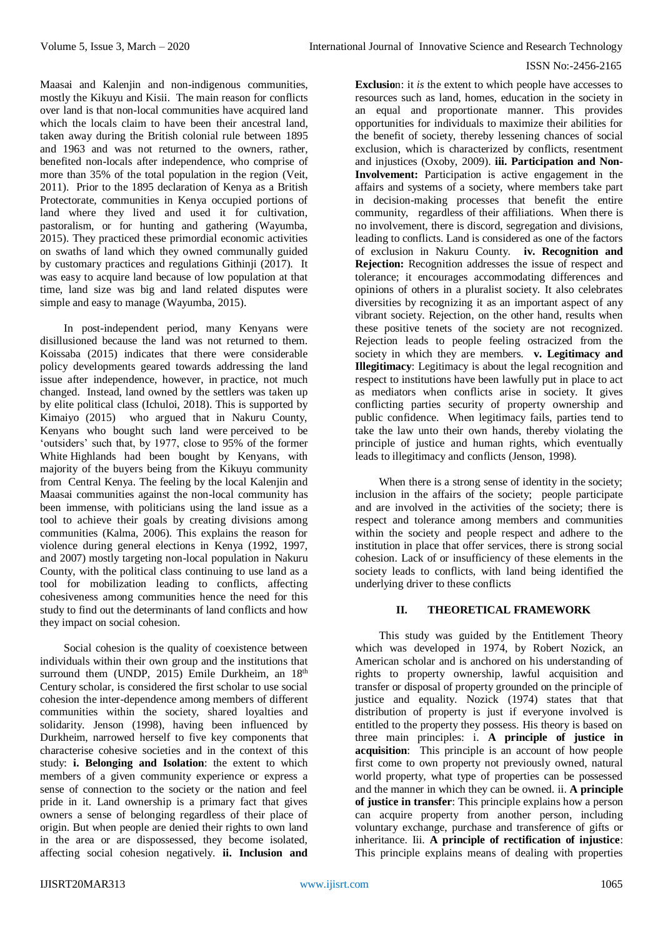Maasai and Kalenjin and non-indigenous communities, mostly the Kikuyu and Kisii. The main reason for conflicts over land is that non-local communities have acquired land which the locals claim to have been their ancestral land, taken away during the British colonial rule between 1895 and 1963 and was not returned to the owners, rather, benefited non-locals after independence, who comprise of more than 35% of the total population in the region (Veit, 2011). Prior to the 1895 declaration of Kenya as a British Protectorate, communities in Kenya occupied portions of land where they lived and used it for cultivation, pastoralism, or for hunting and gathering (Wayumba, 2015). They practiced these primordial economic activities on swaths of land which they owned communally guided by customary practices and regulations Githinji (2017). It was easy to acquire land because of low population at that time, land size was big and land related disputes were simple and easy to manage (Wayumba, 2015).

In post-independent period, many Kenyans were disillusioned because the land was not returned to them. Koissaba (2015) indicates that there were considerable policy developments geared towards addressing the land issue after independence, however, in practice, not much changed. Instead, land owned by the settlers was taken up by elite political class (Ichuloi, 2018). This is supported by Kimaiyo (2015) who argued that in Nakuru County, Kenyans who bought such land were perceived to be 'outsiders' such that, by 1977, close to 95% of the former White Highlands had been bought by Kenyans, with majority of the buyers being from the Kikuyu community from Central Kenya. The feeling by the local Kalenjin and Maasai communities against the non-local community has been immense, with politicians using the land issue as a tool to achieve their goals by creating divisions among communities (Kalma, 2006). This explains the reason for violence during general elections in Kenya (1992, 1997, and 2007) mostly targeting non-local population in Nakuru County, with the political class continuing to use land as a tool for mobilization leading to conflicts, affecting cohesiveness among communities hence the need for this study to find out the determinants of land conflicts and how they impact on social cohesion.

Social cohesion is the quality of coexistence between individuals within their own group and the institutions that surround them (UNDP, 2015) Emile Durkheim, an 18<sup>th</sup> Century scholar, is considered the first scholar to use social cohesion the inter-dependence among members of different communities within the society, shared loyalties and solidarity. Jenson (1998), having been influenced by Durkheim, narrowed herself to five key components that characterise cohesive societies and in the context of this study: **i. Belonging and Isolation**: the extent to which members of a given community experience or express a sense of connection to the society or the nation and feel pride in it. Land ownership is a primary fact that gives owners a sense of belonging regardless of their place of origin. But when people are denied their rights to own land in the area or are dispossessed, they become isolated, affecting social cohesion negatively. **ii. Inclusion and** 

**Exclusio**n: it *is* the extent to which people have accesses to resources such as land, homes, education in the society in an equal and proportionate manner. This provides opportunities for individuals to maximize their abilities for the benefit of society, thereby lessening chances of social exclusion, which is characterized by conflicts, resentment and injustices (Oxoby, 2009). **iii. Participation and Non-Involvement:** Participation is active engagement in the affairs and systems of a society, where members take part in decision-making processes that benefit the entire community, regardless of their affiliations. When there is no involvement, there is discord, segregation and divisions, leading to conflicts. Land is considered as one of the factors of exclusion in Nakuru County. **iv. Recognition and Rejection:** Recognition addresses the issue of respect and tolerance; it encourages accommodating differences and opinions of others in a pluralist society. It also celebrates diversities by recognizing it as an important aspect of any vibrant society. Rejection, on the other hand, results when these positive tenets of the society are not recognized. Rejection leads to people feeling ostracized from the society in which they are members. **v. Legitimacy and Illegitimacy**: Legitimacy is about the legal recognition and respect to institutions have been lawfully put in place to act as mediators when conflicts arise in society. It gives conflicting parties security of property ownership and public confidence. When legitimacy fails, parties tend to take the law unto their own hands, thereby violating the principle of justice and human rights, which eventually leads to illegitimacy and conflicts (Jenson, 1998).

When there is a strong sense of identity in the society; inclusion in the affairs of the society; people participate and are involved in the activities of the society; there is respect and tolerance among members and communities within the society and people respect and adhere to the institution in place that offer services, there is strong social cohesion. Lack of or insufficiency of these elements in the society leads to conflicts, with land being identified the underlying driver to these conflicts

## **II. THEORETICAL FRAMEWORK**

This study was guided by the Entitlement Theory which was developed in 1974, by Robert Nozick, an American scholar and is anchored on his understanding of rights to property ownership, lawful acquisition and transfer or disposal of property grounded on the principle of justice and equality. Nozick (1974) states that that distribution of property is just if everyone involved is entitled to the property they possess. His theory is based on three main principles: i. **A principle of justice in acquisition**: This principle is an account of how people first come to own property not previously owned, natural world property, what type of properties can be possessed and the manner in which they can be owned. ii. **A principle of justice in transfer**: This principle explains how a person can acquire property from another person, including voluntary exchange, purchase and transference of gifts or inheritance. Iii. **A principle of rectification of injustice**: This principle explains means of dealing with properties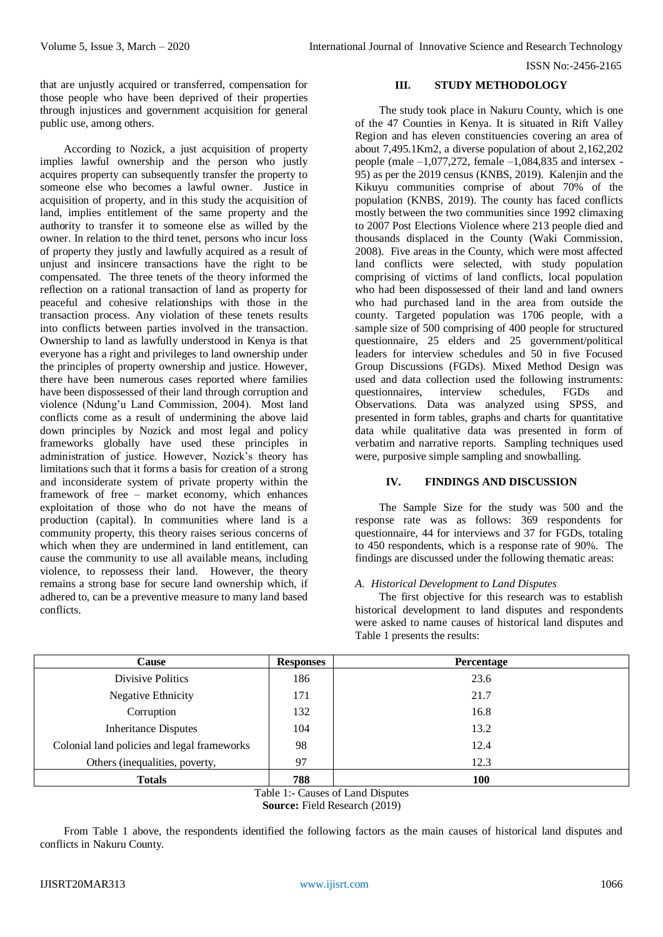that are unjustly acquired or transferred, compensation for those people who have been deprived of their properties through injustices and government acquisition for general public use, among others.

According to Nozick, a just acquisition of property implies lawful ownership and the person who justly acquires property can subsequently transfer the property to someone else who becomes a lawful owner. Justice in acquisition of property, and in this study the acquisition of land, implies entitlement of the same property and the authority to transfer it to someone else as willed by the owner. In relation to the third tenet, persons who incur loss of property they justly and lawfully acquired as a result of unjust and insincere transactions have the right to be compensated. The three tenets of the theory informed the reflection on a rational transaction of land as property for peaceful and cohesive relationships with those in the transaction process. Any violation of these tenets results into conflicts between parties involved in the transaction. Ownership to land as lawfully understood in Kenya is that everyone has a right and privileges to land ownership under the principles of property ownership and justice. However, there have been numerous cases reported where families have been dispossessed of their land through corruption and violence (Ndung'u Land Commission, 2004). Most land conflicts come as a result of undermining the above laid down principles by Nozick and most legal and policy frameworks globally have used these principles in administration of justice. However, Nozick's theory has limitations such that it forms a basis for creation of a strong and inconsiderate system of private property within the framework of free – market economy, which enhances exploitation of those who do not have the means of production (capital). In communities where land is a community property, this theory raises serious concerns of which when they are undermined in land entitlement, can cause the community to use all available means, including violence, to repossess their land. However, the theory remains a strong base for secure land ownership which, if adhered to, can be a preventive measure to many land based conflicts.

## **III. STUDY METHODOLOGY**

The study took place in Nakuru County, which is one of the 47 Counties in Kenya. It is situated in Rift Valley Region and has eleven constituencies covering an area of about 7,495.1Km2, a diverse population of about 2,162,202 people (male  $-1,077,272$ , female  $-1,084,835$  and intersex -95) as per the 2019 census (KNBS, 2019). Kalenjin and the Kikuyu communities comprise of about 70% of the population (KNBS, 2019). The county has faced conflicts mostly between the two communities since 1992 climaxing to 2007 Post Elections Violence where 213 people died and thousands displaced in the County (Waki Commission, 2008). Five areas in the County, which were most affected land conflicts were selected, with study population comprising of victims of land conflicts, local population who had been dispossessed of their land and land owners who had purchased land in the area from outside the county. Targeted population was 1706 people, with a sample size of 500 comprising of 400 people for structured questionnaire, 25 elders and 25 government/political leaders for interview schedules and 50 in five Focused Group Discussions (FGDs). Mixed Method Design was used and data collection used the following instruments: questionnaires, interview schedules, FGDs and Observations. Data was analyzed using SPSS, and presented in form tables, graphs and charts for quantitative data while qualitative data was presented in form of verbatim and narrative reports. Sampling techniques used were, purposive simple sampling and snowballing.

# **IV. FINDINGS AND DISCUSSION**

The Sample Size for the study was 500 and the response rate was as follows: 369 respondents for questionnaire, 44 for interviews and 37 for FGDs, totaling to 450 respondents, which is a response rate of 90%. The findings are discussed under the following thematic areas:

## *A. Historical Development to Land Disputes*

The first objective for this research was to establish historical development to land disputes and respondents were asked to name causes of historical land disputes and Table 1 presents the results:

| Cause                                       | <b>Responses</b> | <b>Percentage</b> |
|---------------------------------------------|------------------|-------------------|
| Divisive Politics                           | 186              | 23.6              |
| Negative Ethnicity                          | 171              | 21.7              |
| Corruption                                  | 132              | 16.8              |
| <b>Inheritance Disputes</b>                 | 104              | 13.2              |
| Colonial land policies and legal frameworks | 98               | 12.4              |
| Others (inequalities, poverty,              | 97               | 12.3              |
| <b>Totals</b>                               | 788              | 100               |

Table 1:- Causes of Land Disputes

**Source:** Field Research (2019)

From Table 1 above, the respondents identified the following factors as the main causes of historical land disputes and conflicts in Nakuru County.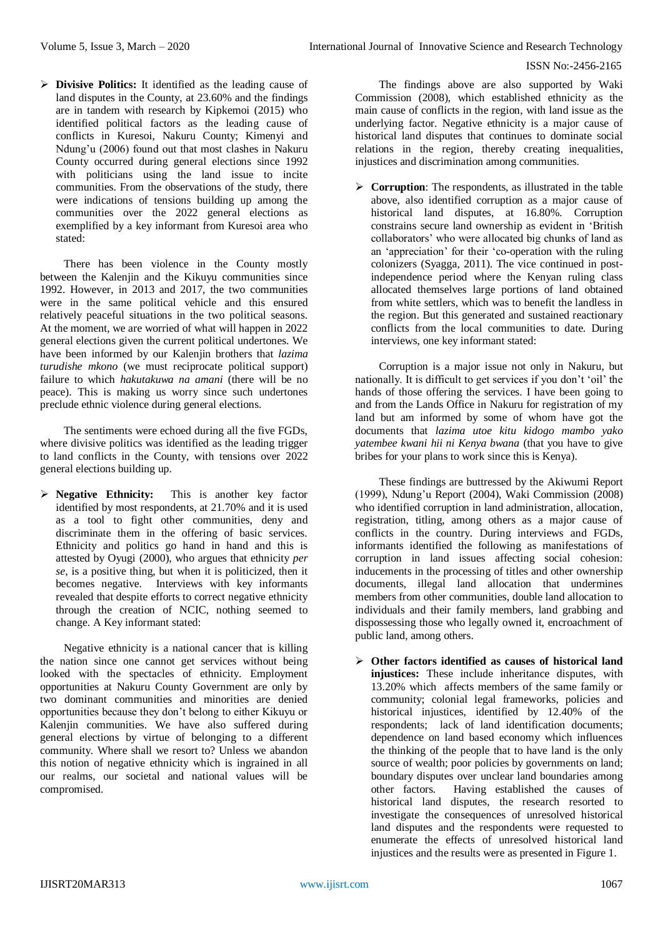**Divisive Politics:** It identified as the leading cause of land disputes in the County, at 23.60% and the findings are in tandem with research by Kipkemoi (2015) who identified political factors as the leading cause of conflicts in Kuresoi, Nakuru County; Kimenyi and Ndung'u (2006) found out that most clashes in Nakuru County occurred during general elections since 1992 with politicians using the land issue to incite communities. From the observations of the study, there were indications of tensions building up among the communities over the 2022 general elections as exemplified by a key informant from Kuresoi area who stated:

There has been violence in the County mostly between the Kalenjin and the Kikuyu communities since 1992. However, in 2013 and 2017, the two communities were in the same political vehicle and this ensured relatively peaceful situations in the two political seasons. At the moment, we are worried of what will happen in 2022 general elections given the current political undertones. We have been informed by our Kalenjin brothers that *lazima turudishe mkono* (we must reciprocate political support) failure to which *hakutakuwa na amani* (there will be no peace). This is making us worry since such undertones preclude ethnic violence during general elections.

The sentiments were echoed during all the five FGDs, where divisive politics was identified as the leading trigger to land conflicts in the County, with tensions over 2022 general elections building up.

 **Negative Ethnicity:** This is another key factor identified by most respondents, at 21.70% and it is used as a tool to fight other communities, deny and discriminate them in the offering of basic services. Ethnicity and politics go hand in hand and this is attested by Oyugi (2000), who argues that ethnicity *per se*, is a positive thing, but when it is politicized, then it becomes negative. Interviews with key informants revealed that despite efforts to correct negative ethnicity through the creation of NCIC, nothing seemed to change. A Key informant stated:

Negative ethnicity is a national cancer that is killing the nation since one cannot get services without being looked with the spectacles of ethnicity. Employment opportunities at Nakuru County Government are only by two dominant communities and minorities are denied opportunities because they don't belong to either Kikuyu or Kalenjin communities. We have also suffered during general elections by virtue of belonging to a different community. Where shall we resort to? Unless we abandon this notion of negative ethnicity which is ingrained in all our realms, our societal and national values will be compromised.

The findings above are also supported by Waki Commission (2008), which established ethnicity as the main cause of conflicts in the region, with land issue as the underlying factor. Negative ethnicity is a major cause of historical land disputes that continues to dominate social relations in the region, thereby creating inequalities, injustices and discrimination among communities.

**Corruption:** The respondents, as illustrated in the table above, also identified corruption as a major cause of historical land disputes, at 16.80%. Corruption constrains secure land ownership as evident in 'British collaborators' who were allocated big chunks of land as an 'appreciation' for their 'co-operation with the ruling colonizers (Syagga, 2011). The vice continued in postindependence period where the Kenyan ruling class allocated themselves large portions of land obtained from white settlers, which was to benefit the landless in the region. But this generated and sustained reactionary conflicts from the local communities to date. During interviews, one key informant stated:

Corruption is a major issue not only in Nakuru, but nationally. It is difficult to get services if you don't 'oil' the hands of those offering the services. I have been going to and from the Lands Office in Nakuru for registration of my land but am informed by some of whom have got the documents that *lazima utoe kitu kidogo mambo yako yatembee kwani hii ni Kenya bwana* (that you have to give bribes for your plans to work since this is Kenya).

These findings are buttressed by the Akiwumi Report (1999), Ndung'u Report (2004), Waki Commission (2008) who identified corruption in land administration, allocation, registration, titling, among others as a major cause of conflicts in the country. During interviews and FGDs, informants identified the following as manifestations of corruption in land issues affecting social cohesion: inducements in the processing of titles and other ownership documents, illegal land allocation that undermines members from other communities, double land allocation to individuals and their family members, land grabbing and dispossessing those who legally owned it, encroachment of public land, among others.

 **Other factors identified as causes of historical land injustices:** These include inheritance disputes, with 13.20% which affects members of the same family or community; colonial legal frameworks, policies and historical injustices, identified by 12.40% of the respondents; lack of land identification documents; dependence on land based economy which influences the thinking of the people that to have land is the only source of wealth; poor policies by governments on land; boundary disputes over unclear land boundaries among other factors. Having established the causes of historical land disputes, the research resorted to investigate the consequences of unresolved historical land disputes and the respondents were requested to enumerate the effects of unresolved historical land injustices and the results were as presented in Figure 1.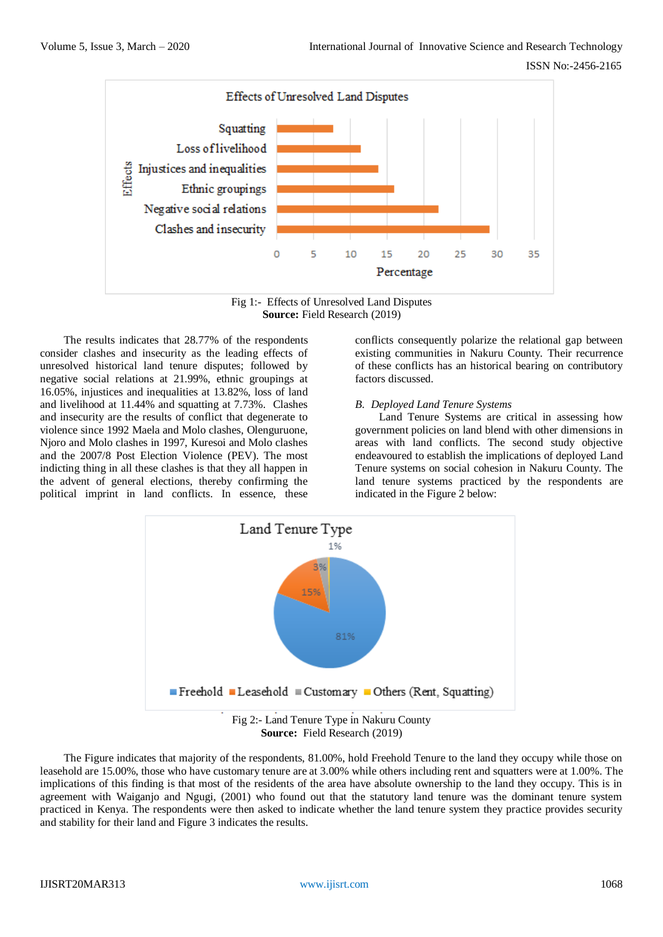

Fig 1:- Effects of Unresolved Land Disputes **Source:** Field Research (2019)

The results indicates that 28.77% of the respondents consider clashes and insecurity as the leading effects of unresolved historical land tenure disputes; followed by negative social relations at 21.99%, ethnic groupings at 16.05%, injustices and inequalities at 13.82%, loss of land and livelihood at 11.44% and squatting at 7.73%. Clashes and insecurity are the results of conflict that degenerate to violence since 1992 Maela and Molo clashes, Olenguruone, Njoro and Molo clashes in 1997, Kuresoi and Molo clashes and the 2007/8 Post Election Violence (PEV). The most indicting thing in all these clashes is that they all happen in the advent of general elections, thereby confirming the political imprint in land conflicts. In essence, these conflicts consequently polarize the relational gap between existing communities in Nakuru County. Their recurrence of these conflicts has an historical bearing on contributory factors discussed.

#### *B. Deployed Land Tenure Systems*

Land Tenure Systems are critical in assessing how government policies on land blend with other dimensions in areas with land conflicts. The second study objective endeavoured to establish the implications of deployed Land Tenure systems on social cohesion in Nakuru County. The land tenure systems practiced by the respondents are indicated in the Figure 2 below:



**Source:** Field Research (2019)

The Figure indicates that majority of the respondents, 81.00%, hold Freehold Tenure to the land they occupy while those on leasehold are 15.00%, those who have customary tenure are at 3.00% while others including rent and squatters were at 1.00%. The implications of this finding is that most of the residents of the area have absolute ownership to the land they occupy. This is in agreement with Waiganjo and Ngugi, (2001) who found out that the statutory land tenure was the dominant tenure system practiced in Kenya. The respondents were then asked to indicate whether the land tenure system they practice provides security and stability for their land and Figure 3 indicates the results.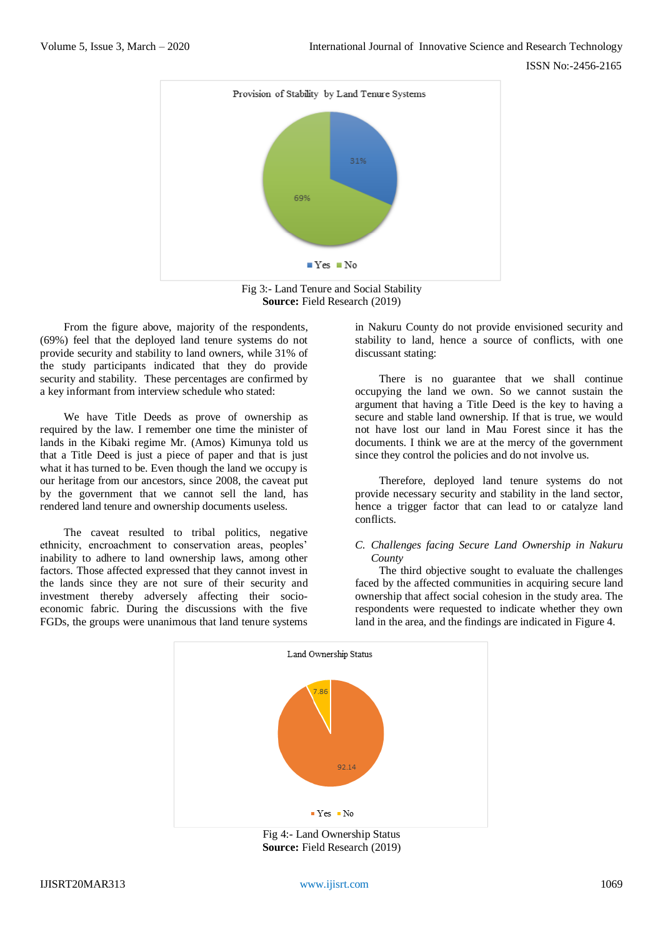

Fig 3:- Land Tenure and Social Stability **Source:** Field Research (2019)

From the figure above, majority of the respondents, (69%) feel that the deployed land tenure systems do not provide security and stability to land owners, while 31% of the study participants indicated that they do provide security and stability. These percentages are confirmed by a key informant from interview schedule who stated:

We have Title Deeds as prove of ownership as required by the law. I remember one time the minister of lands in the Kibaki regime Mr. (Amos) Kimunya told us that a Title Deed is just a piece of paper and that is just what it has turned to be. Even though the land we occupy is our heritage from our ancestors, since 2008, the caveat put by the government that we cannot sell the land, has rendered land tenure and ownership documents useless.

The caveat resulted to tribal politics, negative ethnicity, encroachment to conservation areas, peoples' inability to adhere to land ownership laws, among other factors. Those affected expressed that they cannot invest in the lands since they are not sure of their security and investment thereby adversely affecting their socioeconomic fabric. During the discussions with the five FGDs, the groups were unanimous that land tenure systems

in Nakuru County do not provide envisioned security and stability to land, hence a source of conflicts, with one discussant stating:

There is no guarantee that we shall continue occupying the land we own. So we cannot sustain the argument that having a Title Deed is the key to having a secure and stable land ownership. If that is true, we would not have lost our land in Mau Forest since it has the documents. I think we are at the mercy of the government since they control the policies and do not involve us.

Therefore, deployed land tenure systems do not provide necessary security and stability in the land sector, hence a trigger factor that can lead to or catalyze land conflicts.

## *C. Challenges facing Secure Land Ownership in Nakuru County*

The third objective sought to evaluate the challenges faced by the affected communities in acquiring secure land ownership that affect social cohesion in the study area. The respondents were requested to indicate whether they own land in the area, and the findings are indicated in Figure 4.



Fig 4:- Land Ownership Status **Source:** Field Research (2019)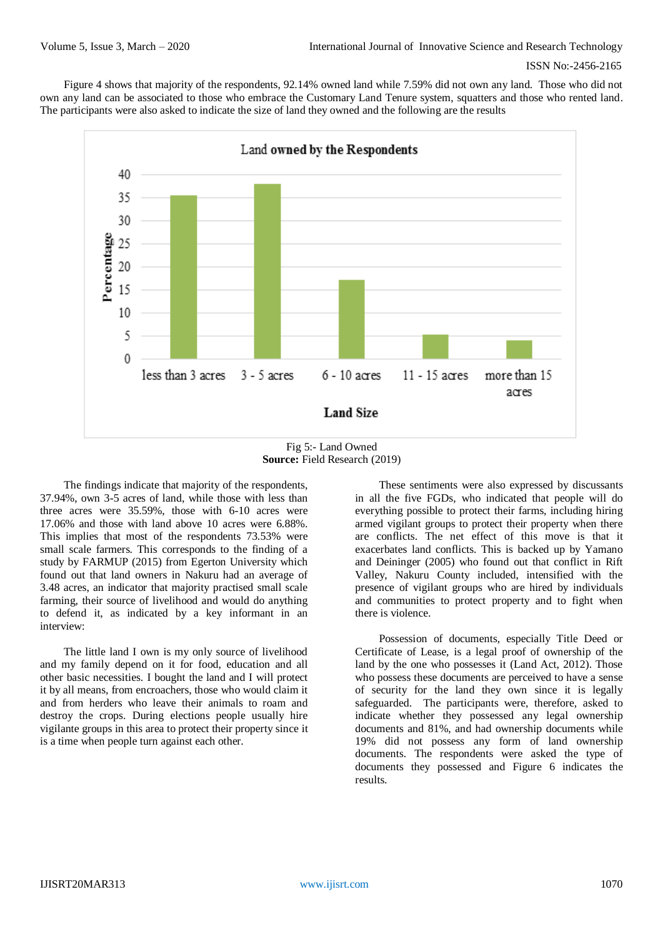Figure 4 shows that majority of the respondents, 92.14% owned land while 7.59% did not own any land. Those who did not own any land can be associated to those who embrace the Customary Land Tenure system, squatters and those who rented land. The participants were also asked to indicate the size of land they owned and the following are the results



Fig 5:- Land Owned **Source:** Field Research (2019)

The findings indicate that majority of the respondents, 37.94%, own 3-5 acres of land, while those with less than three acres were 35.59%, those with 6-10 acres were 17.06% and those with land above 10 acres were 6.88%. This implies that most of the respondents 73.53% were small scale farmers. This corresponds to the finding of a study by FARMUP (2015) from Egerton University which found out that land owners in Nakuru had an average of 3.48 acres, an indicator that majority practised small scale farming, their source of livelihood and would do anything to defend it, as indicated by a key informant in an interview:

The little land I own is my only source of livelihood and my family depend on it for food, education and all other basic necessities. I bought the land and I will protect it by all means, from encroachers, those who would claim it and from herders who leave their animals to roam and destroy the crops. During elections people usually hire vigilante groups in this area to protect their property since it is a time when people turn against each other.

These sentiments were also expressed by discussants in all the five FGDs, who indicated that people will do everything possible to protect their farms, including hiring armed vigilant groups to protect their property when there are conflicts. The net effect of this move is that it exacerbates land conflicts. This is backed up by Yamano and Deininger (2005) who found out that conflict in Rift Valley, Nakuru County included, intensified with the presence of vigilant groups who are hired by individuals and communities to protect property and to fight when there is violence.

Possession of documents, especially Title Deed or Certificate of Lease, is a legal proof of ownership of the land by the one who possesses it (Land Act, 2012). Those who possess these documents are perceived to have a sense of security for the land they own since it is legally safeguarded. The participants were, therefore, asked to indicate whether they possessed any legal ownership documents and 81%, and had ownership documents while 19% did not possess any form of land ownership documents. The respondents were asked the type of documents they possessed and Figure 6 indicates the results.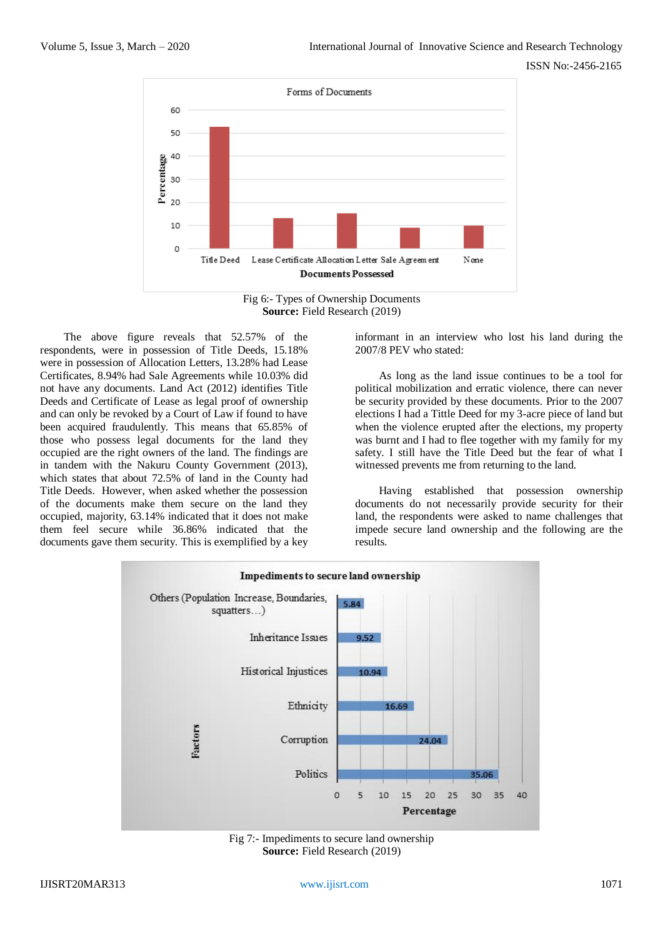



The above figure reveals that 52.57% of the respondents, were in possession of Title Deeds, 15.18% were in possession of Allocation Letters, 13.28% had Lease Certificates, 8.94% had Sale Agreements while 10.03% did not have any documents. Land Act (2012) identifies Title Deeds and Certificate of Lease as legal proof of ownership and can only be revoked by a Court of Law if found to have been acquired fraudulently. This means that 65.85% of those who possess legal documents for the land they occupied are the right owners of the land. The findings are in tandem with the Nakuru County Government (2013), which states that about 72.5% of land in the County had Title Deeds. However, when asked whether the possession of the documents make them secure on the land they occupied, majority, 63.14% indicated that it does not make them feel secure while 36.86% indicated that the documents gave them security. This is exemplified by a key informant in an interview who lost his land during the 2007/8 PEV who stated:

As long as the land issue continues to be a tool for political mobilization and erratic violence, there can never be security provided by these documents. Prior to the 2007 elections I had a Tittle Deed for my 3-acre piece of land but when the violence erupted after the elections, my property was burnt and I had to flee together with my family for my safety. I still have the Title Deed but the fear of what I witnessed prevents me from returning to the land.

Having established that possession ownership documents do not necessarily provide security for their land, the respondents were asked to name challenges that impede secure land ownership and the following are the results.



Fig 7:- Impediments to secure land ownership **Source:** Field Research (2019)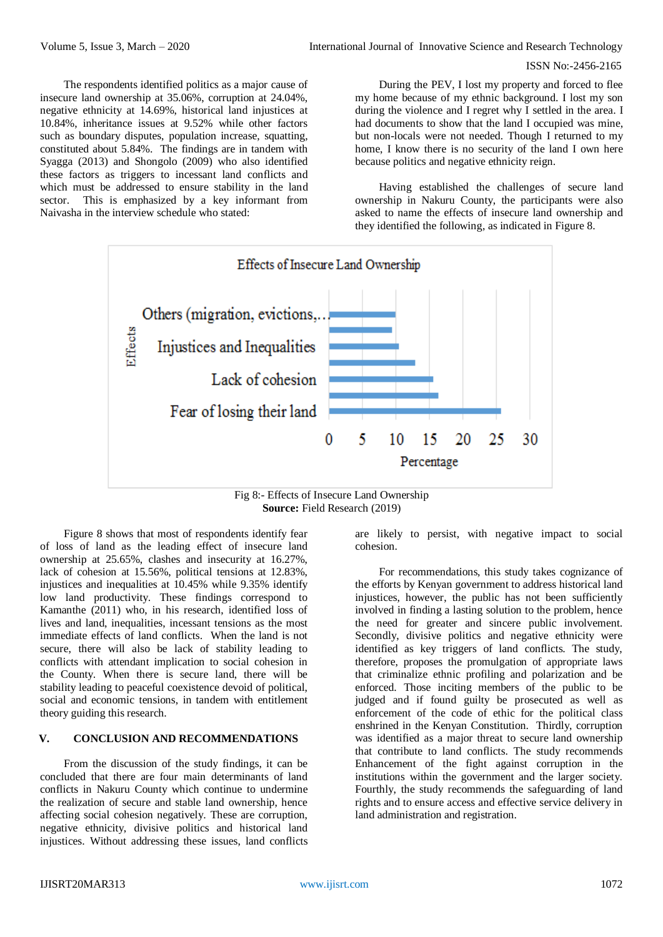The respondents identified politics as a major cause of insecure land ownership at 35.06%, corruption at 24.04%, negative ethnicity at 14.69%, historical land injustices at 10.84%, inheritance issues at 9.52% while other factors such as boundary disputes, population increase, squatting, constituted about 5.84%. The findings are in tandem with Syagga (2013) and Shongolo (2009) who also identified these factors as triggers to incessant land conflicts and which must be addressed to ensure stability in the land sector. This is emphasized by a key informant from Naivasha in the interview schedule who stated:

During the PEV, I lost my property and forced to flee my home because of my ethnic background. I lost my son during the violence and I regret why I settled in the area. I had documents to show that the land I occupied was mine, but non-locals were not needed. Though I returned to my home, I know there is no security of the land I own here because politics and negative ethnicity reign.

Having established the challenges of secure land ownership in Nakuru County, the participants were also asked to name the effects of insecure land ownership and they identified the following, as indicated in Figure 8.



Fig 8:- Effects of Insecure Land Ownership **Source:** Field Research (2019)

Figure 8 shows that most of respondents identify fear of loss of land as the leading effect of insecure land ownership at 25.65%, clashes and insecurity at 16.27%, lack of cohesion at 15.56%, political tensions at 12.83%, injustices and inequalities at 10.45% while 9.35% identify low land productivity. These findings correspond to Kamanthe (2011) who, in his research, identified loss of lives and land, inequalities, incessant tensions as the most immediate effects of land conflicts. When the land is not secure, there will also be lack of stability leading to conflicts with attendant implication to social cohesion in the County. When there is secure land, there will be stability leading to peaceful coexistence devoid of political, social and economic tensions, in tandem with entitlement theory guiding this research.

## **V. CONCLUSION AND RECOMMENDATIONS**

From the discussion of the study findings, it can be concluded that there are four main determinants of land conflicts in Nakuru County which continue to undermine the realization of secure and stable land ownership, hence affecting social cohesion negatively. These are corruption, negative ethnicity, divisive politics and historical land injustices. Without addressing these issues, land conflicts

are likely to persist, with negative impact to social cohesion.

For recommendations, this study takes cognizance of the efforts by Kenyan government to address historical land injustices, however, the public has not been sufficiently involved in finding a lasting solution to the problem, hence the need for greater and sincere public involvement. Secondly, divisive politics and negative ethnicity were identified as key triggers of land conflicts. The study, therefore, proposes the promulgation of appropriate laws that criminalize ethnic profiling and polarization and be enforced. Those inciting members of the public to be judged and if found guilty be prosecuted as well as enforcement of the code of ethic for the political class enshrined in the Kenyan Constitution. Thirdly, corruption was identified as a major threat to secure land ownership that contribute to land conflicts. The study recommends Enhancement of the fight against corruption in the institutions within the government and the larger society. Fourthly, the study recommends the safeguarding of land rights and to ensure access and effective service delivery in land administration and registration.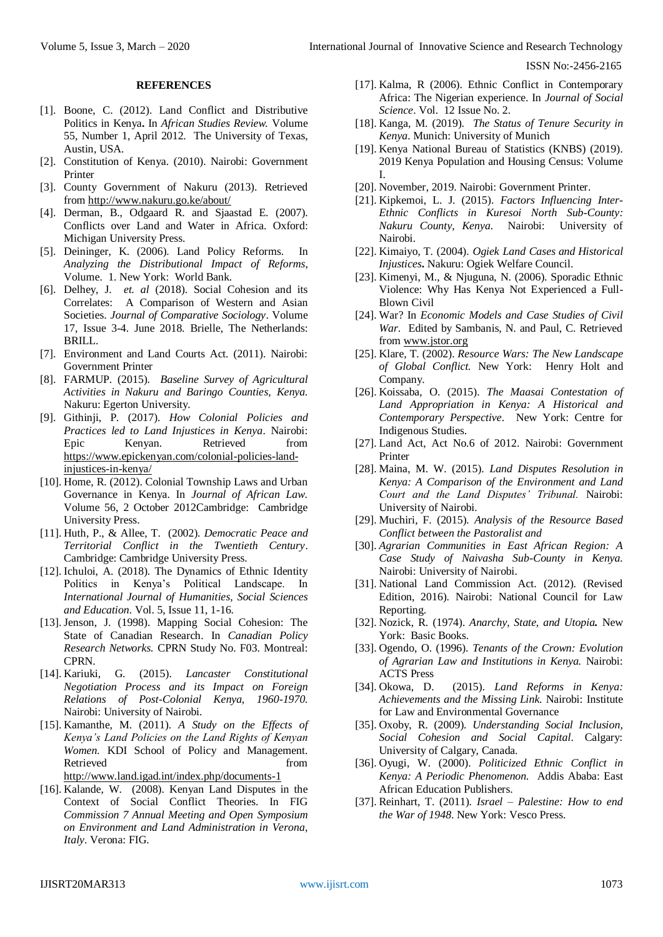#### **REFERENCES**

- [1]. Boone, C. (2012). Land Conflict and Distributive Politics in Kenya**.** In *African Studies Review.* Volume 55, Number 1, April 2012. The University of Texas, Austin, USA.
- [2]. Constitution of Kenya. (2010). Nairobi: Government Printer
- [3]. County Government of Nakuru (2013). Retrieved from <http://www.nakuru.go.ke/about/>
- [4]. Derman, B., Odgaard R. and Sjaastad E. (2007). Conflicts over Land and Water in Africa. Oxford: Michigan University Press.
- [5]. Deininger, K. (2006). Land Policy Reforms. In *Analyzing the Distributional Impact of Reforms*, Volume. 1. New York: World Bank.
- [6]. Delhey, J. *et. al* (2018). Social Cohesion and its Correlates: A Comparison of Western and Asian Societies. *Journal of Comparative Sociology*. Volume 17, Issue 3-4. June 2018. [Brielle,](https://en.wikipedia.org/wiki/Brielle) The Netherlands: BRILL.
- [7]. Environment and Land Courts Act. (2011). Nairobi: Government Printer
- [8]. FARMUP. (2015). *Baseline Survey of Agricultural Activities in Nakuru and Baringo Counties, Kenya.* Nakuru: Egerton University.
- [9]. Githinji, P. (2017). *How Colonial Policies and Practices led to Land Injustices in Kenya*. Nairobi: Epic Kenyan. Retrieved from [https://www.epickenyan.com/colonial-policies-land](https://www.epickenyan.com/colonial-policies-land-injustices-in-kenya/)[injustices-in-kenya/](https://www.epickenyan.com/colonial-policies-land-injustices-in-kenya/)
- [10]. Home, R. (2012). Colonial Township Laws and Urban Governance in Kenya. In *Journal of African Law*. Volume 56, 2 October 2012Cambridge: Cambridge University Press.
- [11]. Huth, P., & Allee, T. (2002). *Democratic Peace and Territorial Conflict in the Twentieth Century*. Cambridge: Cambridge University Press.
- [12]. Ichuloi, A. (2018). The Dynamics of Ethnic Identity Politics in Kenya's Political Landscape. In *International Journal of Humanities, Social Sciences and Education.* Vol. 5, Issue 11, 1-16.
- [13]. Jenson, J. (1998). Mapping Social Cohesion: The State of Canadian Research. In *Canadian Policy Research Networks.* CPRN Study No. F03. Montreal: CPRN.
- [14]. Kariuki, G. (2015). *Lancaster Constitutional Negotiation Process and its Impact on Foreign Relations of Post-Colonial Kenya, 1960-1970.* Nairobi: University of Nairobi.
- [15]. Kamanthe, M. (2011). *A Study on the Effects of Kenya's Land Policies on the Land Rights of Kenyan Women.* KDI School of Policy and Management. Retrieved from the settlement of the settlement of the settlement of the settlement of the settlement of the settlement of the settlement of the settlement of the settlement of the settlement of the settlement of the settl <http://www.land.igad.int/index.php/documents-1>
- [16]. Kalande, W. (2008). Kenyan Land Disputes in the Context of Social Conflict Theories. In FIG *Commission 7 Annual Meeting and Open Symposium on Environment and Land Administration in Verona, Italy*. Verona: FIG.
- [17]. Kalma, R (2006). Ethnic Conflict in Contemporary Africa: The Nigerian experience. In *Journal of Social Science*. Vol. 12 Issue No. 2.
- [18]. Kanga, M. (2019). *The Status of Tenure Security in Kenya*. Munich: University of Munich
- [19]. Kenya National Bureau of Statistics (KNBS) (2019). 2019 Kenya Population and Housing Census: Volume I.
- [20]. November, 2019. Nairobi: Government Printer.
- [21]. Kipkemoi, L. J. (2015). *Factors Influencing Inter-Ethnic Conflicts in Kuresoi North Sub-County: Nakuru County, Kenya*. Nairobi: University of Nairobi.
- [22]. Kimaiyo, T. (2004). *Ogiek Land Cases and Historical Injustices***.** Nakuru: Ogiek Welfare Council.
- [23]. Kimenyi, M., & Njuguna, N. (2006). Sporadic Ethnic Violence: Why Has Kenya Not Experienced a Full-Blown Civil
- [24]. War? In *Economic Models and Case Studies of Civil War*. Edited by Sambanis, N. and Paul, C. Retrieved from [www.jstor.org](http://www.jstor.org/)
- [25]. Klare, T. (2002). *Resource Wars: The New Landscape of Global Conflict.* New York: Henry Holt and Company.
- [26]. Koissaba, O. (2015). *The Maasai Contestation of Land Appropriation in Kenya: A Historical and Contemporary Perspective*. New York: Centre for Indigenous Studies.
- [27]. Land Act, Act No.6 of 2012. Nairobi: Government Printer
- [28]. Maina, M. W. (2015). *Land Disputes Resolution in Kenya: A Comparison of the Environment and Land Court and the Land Disputes' Tribunal.* Nairobi: University of Nairobi.
- [29]. Muchiri, F. (2015). *Analysis of the Resource Based Conflict between the Pastoralist and*
- [30]. *Agrarian Communities in East African Region: A Case Study of Naivasha Sub-County in Kenya.* Nairobi: University of Nairobi.
- [31]. National Land Commission Act. (2012). (Revised Edition, 2016). Nairobi: National Council for Law Reporting.
- [32]. Nozick, R. (1974). *Anarchy, State, and Utopia.* New York: Basic Books.
- [33]. Ogendo, O. (1996). *Tenants of the Crown: Evolution of Agrarian Law and Institutions in Kenya.* Nairobi: ACTS Press
- [34]. Okowa, D. (2015). *Land Reforms in Kenya: Achievements and the Missing Link*. Nairobi: [Institute](https://ilegkenya1.wordpress.com/author/ilegkenya1/) for Law and [Environmental](https://ilegkenya1.wordpress.com/author/ilegkenya1/) Governance
- [35]. Oxoby, R. (2009). *Understanding Social Inclusion, Social Cohesion and Social Capital*. Calgary: University of Calgary, Canada.
- [36]. Oyugi, W. (2000). *Politicized Ethnic Conflict in Kenya: A Periodic Phenomenon.* Addis Ababa: East African Education Publishers.
- [37]. Reinhart, T. (2011). *Israel – Palestine: How to end the War of 1948*. New York: Vesco Press.